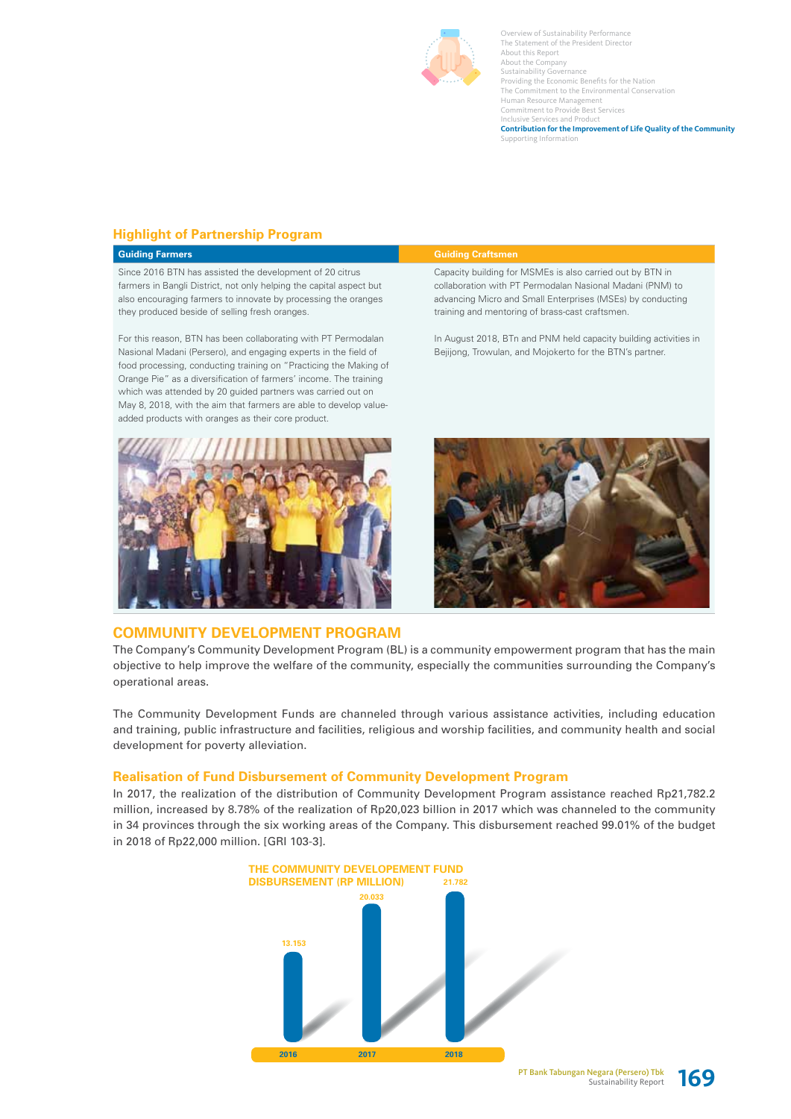

# **Highlight of Partnership Program**

## **Guiding Farmers Guiding Craftsmen**

Since 2016 BTN has assisted the development of 20 citrus farmers in Bangli District, not only helping the capital aspect but also encouraging farmers to innovate by processing the oranges they produced beside of selling fresh oranges.

For this reason, BTN has been collaborating with PT Permodalan Nasional Madani (Persero), and engaging experts in the field of food processing, conducting training on "Practicing the Making of Orange Pie" as a diversification of farmers' income. The training which was attended by 20 guided partners was carried out on May 8, 2018, with the aim that farmers are able to develop valueadded products with oranges as their core product.



# **COMMUNITY DEVELOPMENT PROGRAM**

Capacity building for MSMEs is also carried out by BTN in collaboration with PT Permodalan Nasional Madani (PNM) to advancing Micro and Small Enterprises (MSEs) by conducting training and mentoring of brass-cast craftsmen.

In August 2018, BTn and PNM held capacity building activities in Bejijong, Trowulan, and Mojokerto for the BTN's partner.



The Company's Community Development Program (BL) is a community empowerment program that has the main objective to help improve the welfare of the community, especially the communities surrounding the Company's operational areas.

The Community Development Funds are channeled through various assistance activities, including education and training, public infrastructure and facilities, religious and worship facilities, and community health and social development for poverty alleviation.

# **Realisation of Fund Disbursement of Community Development Program**

In 2017, the realization of the distribution of Community Development Program assistance reached Rp21,782.2 million, increased by 8.78% of the realization of Rp20,023 billion in 2017 which was channeled to the community in 34 provinces through the six working areas of the Company. This disbursement reached 99.01% of the budget in 2018 of Rp22,000 million. [GRI 103-3].



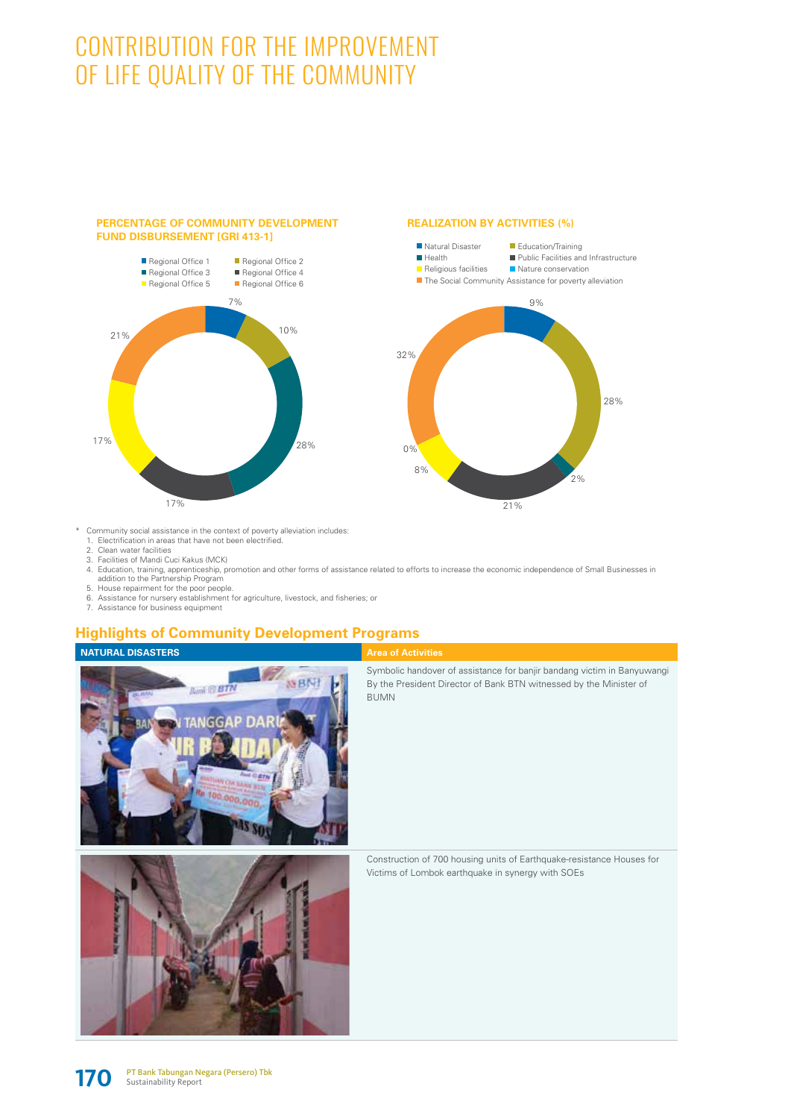# CONTRIBUTION FOR THE IMPROVEMENT OF LIFE QUALITY OF THE COMMUNITY

# Regional Office 1 Regional Office 3 Regional Office 5 Regional Office 2 Regional Office 4 Regional Office 6 7% 10% 28% 17% 17% 21%

**PERCENTAGE OF COMMUNITY DEVELOPMENT** 

**FUND DISBURSEMENT [GRI 413-1]**

## **REALIZATION BY ACTIVITIES (%)**



- \* Community social assistance in the context of poverty alleviation includes: 1. Electrification in areas that have not been electrified.
	-
	- 2. Clean water facilities 3. Facilities of Mandi Cuci Kakus (MCK)
	- 4. Education, training, apprenticeship, promotion and other forms of assistance related to efforts to increase the economic independence of Small Businesses in addition to the Partnership Program
	- 5. House repairment for the poor people.
	- 6. Assistance for nursery establishment for agriculture, livestock, and fisheries; or

**MARITA** 

00.000.000

As so

7. Assistance for business equipment

# **Highlights of Community Development Programs**

MBNI

# **NATURAL DISASTERS Area of Activities**

Symbolic handover of assistance for banjir bandang victim in Banyuwangi By the President Director of Bank BTN witnessed by the Minister of BUMN



Construction of 700 housing units of Earthquake-resistance Houses for Victims of Lombok earthquake in synergy with SOEs

![](_page_1_Picture_17.jpeg)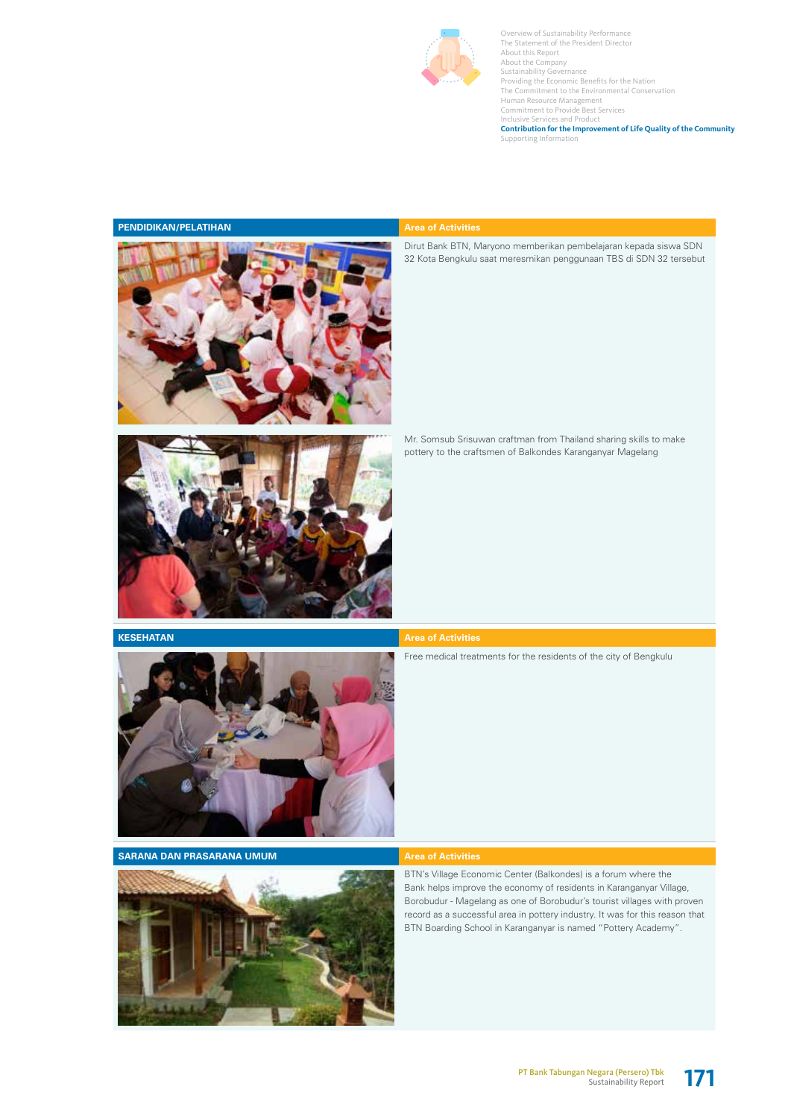![](_page_2_Picture_0.jpeg)

### **PENDIDIKAN/PELATIHAN Area of Activities**

![](_page_2_Picture_3.jpeg)

Dirut Bank BTN, Maryono memberikan pembelajaran kepada siswa SDN 32 Kota Bengkulu saat meresmikan penggunaan TBS di SDN 32 tersebut

Mr. Somsub Srisuwan craftman from Thailand sharing skills to make pottery to the craftsmen of Balkondes Karanganyar Magelang

![](_page_2_Picture_6.jpeg)

**KESEHATAN Area of Activities** 

![](_page_2_Picture_8.jpeg)

Free medical treatments for the residents of the city of Bengkulu

**SARANA DAN PRASARANA UMUM Area of Activities** 

![](_page_2_Picture_12.jpeg)

BTN's Village Economic Center (Balkondes) is a forum where the Bank helps improve the economy of residents in Karanganyar Village, Borobudur - Magelang as one of Borobudur's tourist villages with proven record as a successful area in pottery industry. It was for this reason that BTN Boarding School in Karanganyar is named "Pottery Academy".

![](_page_2_Picture_16.jpeg)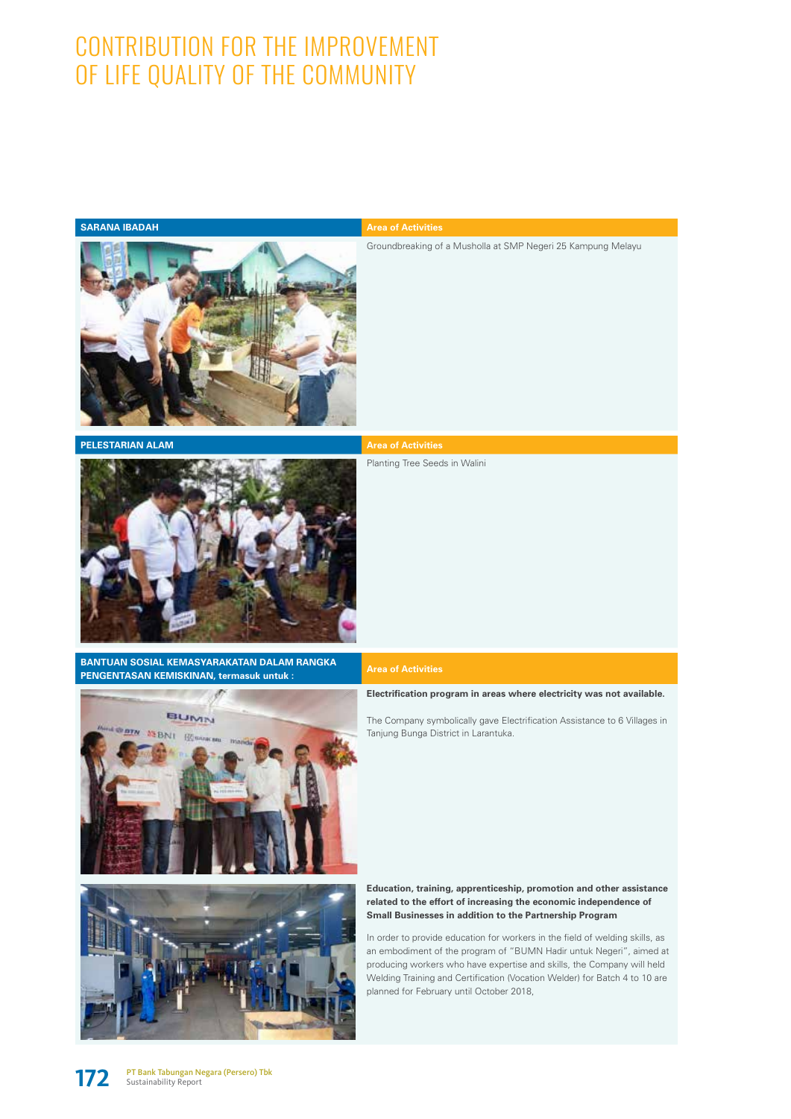# CONTRIBUTION FOR THE IMPROVEMENT OF LIFE QUALITY OF THE COMMUNITY

## **SARANA IBADAH Area of Activities**

Groundbreaking of a Musholla at SMP Negeri 25 Kampung Melayu

![](_page_3_Picture_4.jpeg)

**PELESTARIAN ALAM AREA OF A REAL AREA OF A REAL AREA OF ACTIVITIES** 

![](_page_3_Picture_6.jpeg)

**BANTUAN SOSIAL KEMASYARAKATAN DALAM RANGKA PENGENTASAN KEMISKINAN, termasuk untuk : Area of Activities**

![](_page_3_Picture_8.jpeg)

Planting Tree Seeds in Walini

**Electrification program in areas where electricity was not available.** 

The Company symbolically gave Electrification Assistance to 6 Villages in Tanjung Bunga District in Larantuka.

![](_page_3_Picture_11.jpeg)

![](_page_3_Picture_12.jpeg)

### **Education, training, apprenticeship, promotion and other assistance related to the effort of increasing the economic independence of Small Businesses in addition to the Partnership Program**

In order to provide education for workers in the field of welding skills, as an embodiment of the program of "BUMN Hadir untuk Negeri", aimed at producing workers who have expertise and skills, the Company will held Welding Training and Certification (Vocation Welder) for Batch 4 to 10 are planned for February until October 2018,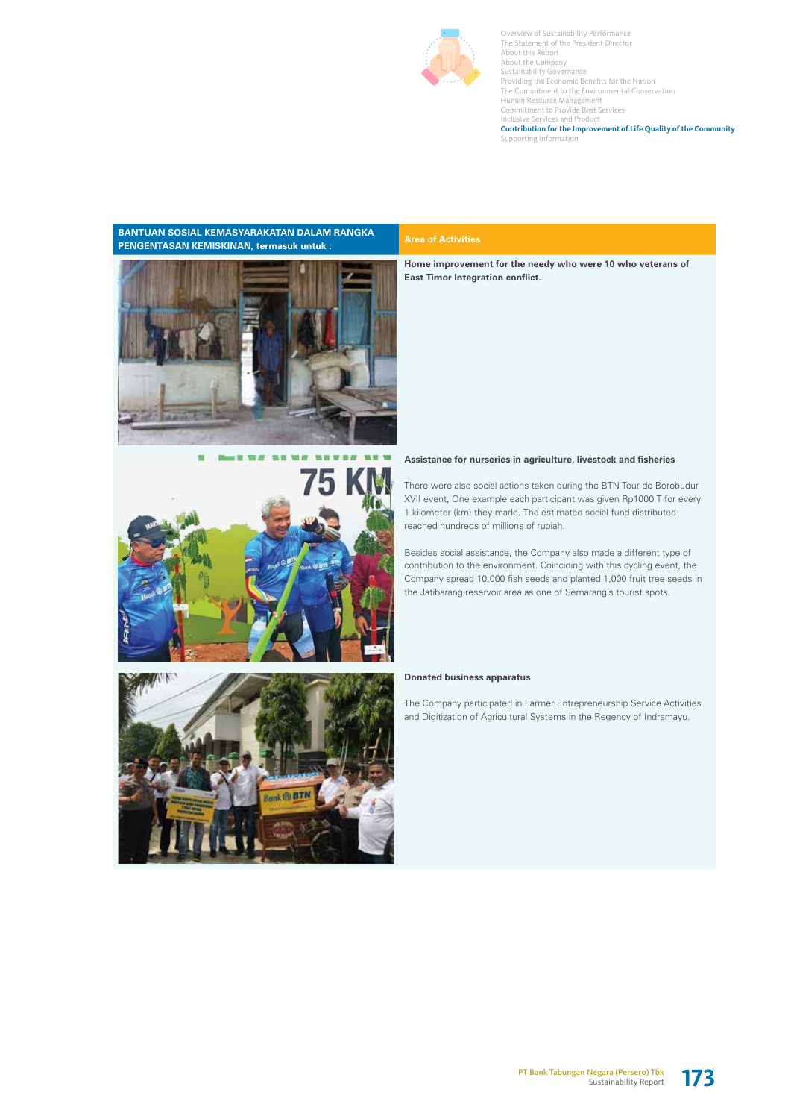![](_page_4_Picture_0.jpeg)

# **BANTUAN SOSIAL KEMASYARAKATAN DALAM RANGKA**  BANTUAN SOSIAL KEMASYAHAKATAN DALAM HANGKAN AREA of Activities<br>PENGENTASAN KEMISKINAN, termasuk untuk : \_\_\_\_\_\_\_\_\_\_\_\_\_\_\_\_\_\_\_\_\_Area of Activities

![](_page_4_Picture_3.jpeg)

![](_page_4_Picture_4.jpeg)

# Bank @ BTN

**Home improvement for the needy who were 10 who veterans of East Timor Integration conflict.** 

# **Assistance for nurseries in agriculture, livestock and fisheries**

There were also social actions taken during the BTN Tour de Borobudur XVII event, One example each participant was given Rp1000 T for every 1 kilometer (km) they made. The estimated social fund distributed reached hundreds of millions of rupiah.

Besides social assistance, the Company also made a different type of contribution to the environment. Coinciding with this cycling event, the Company spread 10,000 fish seeds and planted 1,000 fruit tree seeds in the Jatibarang reservoir area as one of Semarang's tourist spots.

### **Donated business apparatus**

The Company participated in Farmer Entrepreneurship Service Activities and Digitization of Agricultural Systems in the Regency of Indramayu.

![](_page_4_Picture_14.jpeg)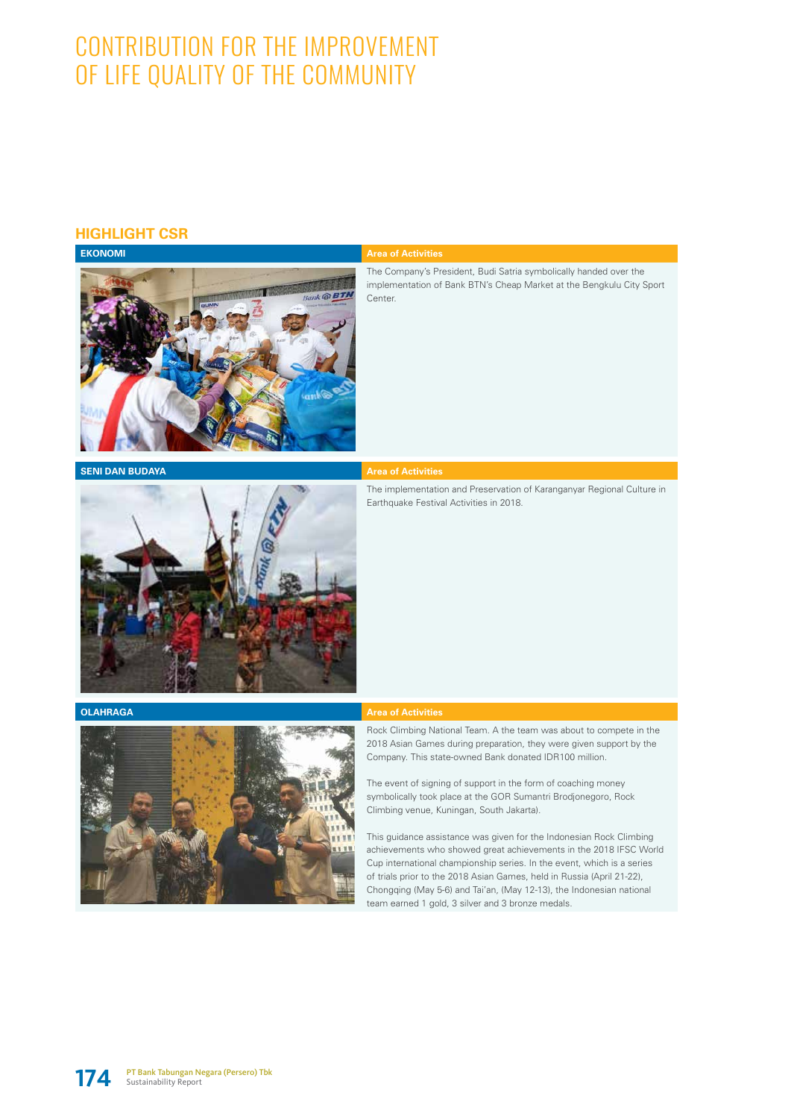# CONTRIBUTION FOR THE IMPROVEMENT OF LIFE QUALITY OF THE COMMUNITY

# **HIGHLIGHT CSR**

![](_page_5_Picture_2.jpeg)

The Company's President, Budi Satria symbolically handed over the implementation of Bank BTN's Cheap Market at the Bengkulu City Sport Center.

**SENI DAN BUDAYA Area of Activities** 

The implementation and Preservation of Karanganyar Regional Culture in Earthquake Festival Activities in 2018.

![](_page_5_Picture_8.jpeg)

![](_page_5_Picture_10.jpeg)

## **OLAHRAGA Area of Activities**

Rock Climbing National Team. A the team was about to compete in the 2018 Asian Games during preparation, they were given support by the Company. This state-owned Bank donated IDR100 million.

The event of signing of support in the form of coaching money symbolically took place at the GOR Sumantri Brodjonegoro, Rock Climbing venue, Kuningan, South Jakarta).

This guidance assistance was given for the Indonesian Rock Climbing achievements who showed great achievements in the 2018 IFSC World Cup international championship series. In the event, which is a series of trials prior to the 2018 Asian Games, held in Russia (April 21-22), Chongqing (May 5-6) and Tai'an, (May 12-13), the Indonesian national team earned 1 gold, 3 silver and 3 bronze medals.